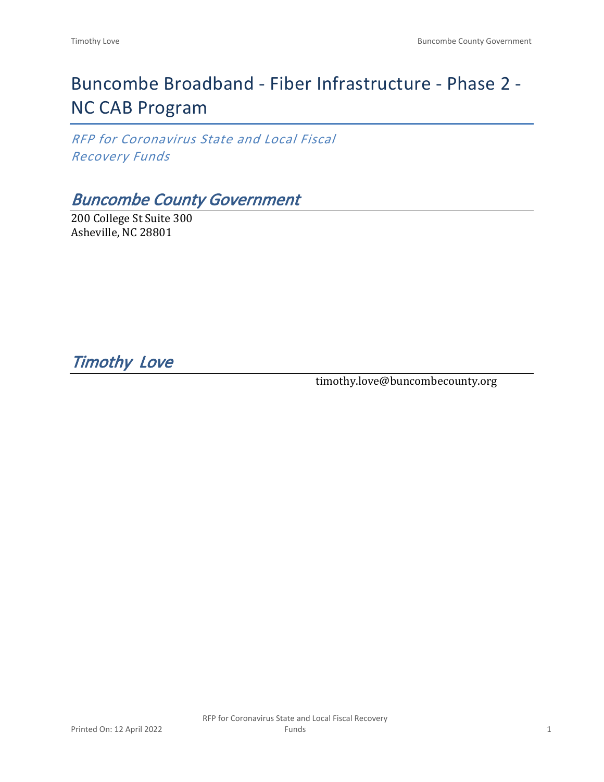# Buncombe Broadband - Fiber Infrastructure - Phase 2 - NC CAB Program

*RFP for Coronavirus State and Local Fiscal Recovery Funds*

## *Buncombe County Government*

200 College St Suite 300 Asheville, NC 28801

*Timothy Love* 

timothy.love@buncombecounty.org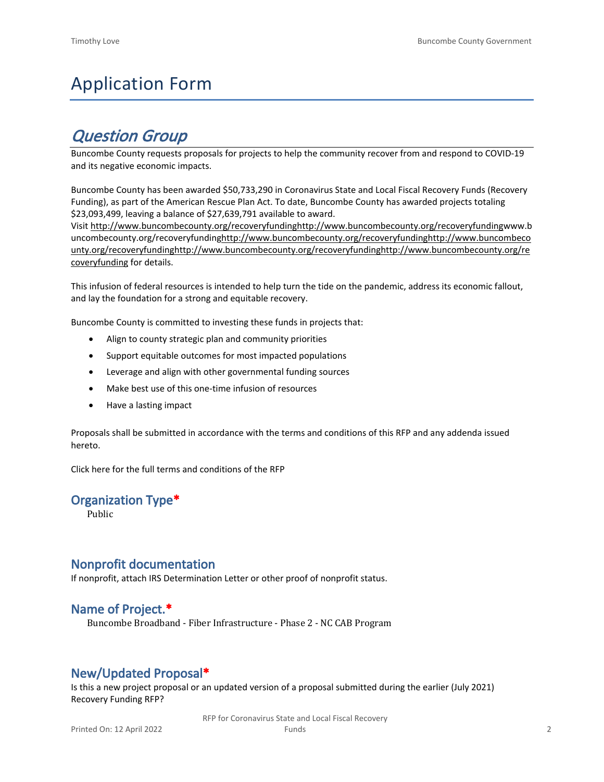# Application Form

## *Question Group*

Buncombe County requests proposals for projects to help the community recover from and respond to COVID-19 and its negative economic impacts.

Buncombe County has been awarded \$50,733,290 in Coronavirus State and Local Fiscal Recovery Funds (Recovery Funding), as part of the American Rescue Plan Act. To date, Buncombe County has awarded projects totaling \$23,093,499, leaving a balance of \$27,639,791 available to award.

Visit [http://www.buncombecounty.org/recoveryfundinghttp://www.buncombecounty.org/recoveryfundingwww.b](http://www.buncombecounty.org/recoveryfunding) [uncombecounty.org/recoveryfundinghttp://www.buncombecounty.org/recoveryfundinghttp://www.buncombeco](http://www.buncombecounty.org/recoveryfunding) [unty.org/recoveryfundinghttp://www.buncombecounty.org/recoveryfundinghttp://www.buncombecounty.org/re](http://www.buncombecounty.org/recoveryfunding) [coveryfunding](http://www.buncombecounty.org/recoveryfunding) for details.

This infusion of federal resources is intended to help turn the tide on the pandemic, address its economic fallout, and lay the foundation for a strong and equitable recovery.

Buncombe County is committed to investing these funds in projects that:

- Align to county strategic plan and community priorities
- Support equitable outcomes for most impacted populations
- Leverage and align with other governmental funding sources
- Make best use of this one-time infusion of resources
- Have a lasting impact

Proposals shall be submitted in accordance with the terms and conditions of this RFP and any addenda issued hereto.

Click [here](https://www.buncombecounty.org/common/purchasing/Buncombe%20Recovery%20Funding%20RFP%202022.pdf) for the full terms and conditions of the RFP

#### **Organization Type\***

Public

#### **Nonprofit documentation**

If nonprofit, attach IRS Determination Letter or other proof of nonprofit status.

#### **Name of Project.\***

Buncombe Broadband - Fiber Infrastructure - Phase 2 - NC CAB Program

## **New/Updated Proposal\***

Is this a new project proposal or an updated version of a proposal submitted during the earlier (July 2021) Recovery Funding RFP?

> RFP for Coronavirus State and Local Fiscal Recovery Funds 2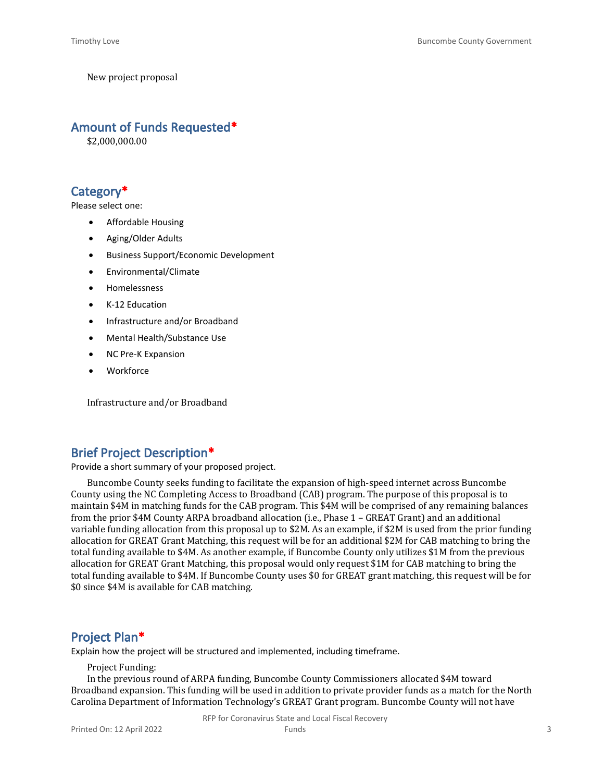New project proposal

#### **Amount of Funds Requested\***

\$2,000,000.00

## **Category\***

Please select one:

- Affordable Housing
- Aging/Older Adults
- Business Support/Economic Development
- Environmental/Climate
- Homelessness
- K-12 Education
- Infrastructure and/or Broadband
- Mental Health/Substance Use
- NC Pre-K Expansion
- **Workforce**

Infrastructure and/or Broadband

#### **Brief Project Description\***

Provide a short summary of your proposed project.

Buncombe County seeks funding to facilitate the expansion of high-speed internet across Buncombe County using the NC Completing Access to Broadband (CAB) program. The purpose of this proposal is to maintain \$4M in matching funds for the CAB program. This \$4M will be comprised of any remaining balances from the prior \$4M County ARPA broadband allocation (i.e., Phase 1 – GREAT Grant) and an additional variable funding allocation from this proposal up to \$2M. As an example, if \$2M is used from the prior funding allocation for GREAT Grant Matching, this request will be for an additional \$2M for CAB matching to bring the total funding available to \$4M. As another example, if Buncombe County only utilizes \$1M from the previous allocation for GREAT Grant Matching, this proposal would only request \$1M for CAB matching to bring the total funding available to \$4M. If Buncombe County uses \$0 for GREAT grant matching, this request will be for \$0 since \$4M is available for CAB matching.

#### **Project Plan\***

Explain how the project will be structured and implemented, including timeframe.

Project Funding:

In the previous round of ARPA funding, Buncombe County Commissioners allocated \$4M toward Broadband expansion. This funding will be used in addition to private provider funds as a match for the North Carolina Department of Information Technology's GREAT Grant program. Buncombe County will not have

RFP for Coronavirus State and Local Fiscal Recovery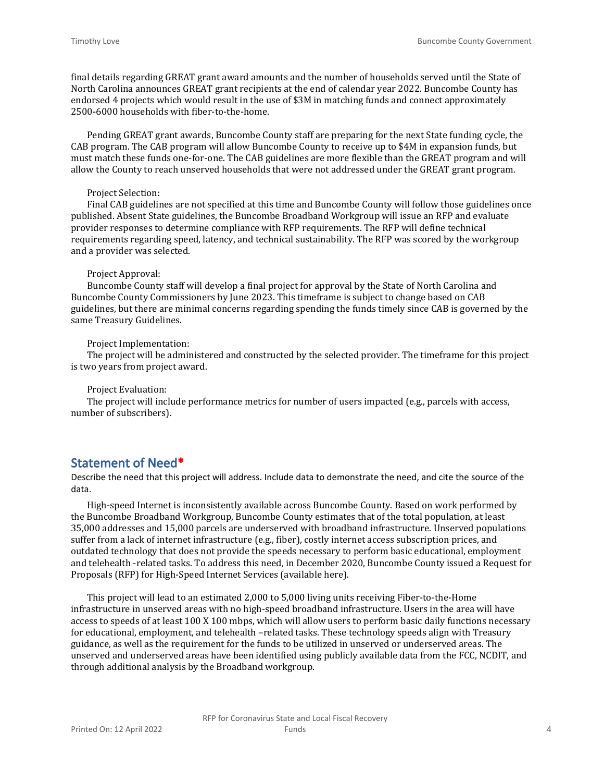final details regarding GREAT grant award amounts and the number of households served until the State of North Carolina announces GREAT grant recipients at the end of calendar year 2022. Buncombe County has endorsed 4 projects which would result in the use of \$3M in matching funds and connect approximately 2500-6000 households with fiber-to-the-home.

Pending GREAT grant awards, Buncombe County staff are preparing for the next State funding cycle, the CAB program. The CAB program will allow Buncombe County to receive up to \$4M in expansion funds, but must match these funds one-for-one. The CAB guidelines are more flexible than the GREAT program and will allow the County to reach unserved households that were not addressed under the GREAT grant program.

#### Project Selection:

Final CAB guidelines are not specified at this time and Buncombe County will follow those guidelines once published. Absent State guidelines, the Buncombe Broadband Workgroup will issue an RFP and evaluate provider responses to determine compliance with RFP requirements. The RFP will define technical requirements regarding speed, latency, and technical sustainability. The RFP was scored by the workgroup and a provider was selected.

#### Project Approval:

Buncombe County staff will develop a final project for approval by the State of North Carolina and Buncombe County Commissioners by June 2023. This timeframe is subject to change based on CAB guidelines, but there are minimal concerns regarding spending the funds timely since CAB is governed by the same Treasury Guidelines.

#### Project Implementation:

The project will be administered and constructed by the selected provider. The timeframe for this project is two years from project award.

#### Project Evaluation:

The project will include performance metrics for number of users impacted (e.g., parcels with access, number of subscribers).

#### **Statement of Need\***

Describe the need that this project will address. Include data to demonstrate the need, and cite the source of the data.

High-speed Internet is inconsistently available across Buncombe County. Based on work performed by the Buncombe Broadband Workgroup, Buncombe County estimates that of the total population, at least 35,000 addresses and 15,000 parcels are underserved with broadband infrastructure. Unserved populations suffer from a lack of internet infrastructure (e.g., fiber), costly internet access subscription prices, and outdated technology that does not provide the speeds necessary to perform basic educational, employment and telehealth -related tasks. To address this need, in December 2020, Buncombe County issued a Request for Proposals (RFP) for High-Speed Internet Services (available here).

This project will lead to an estimated 2,000 to 5,000 living units receiving Fiber-to-the-Home infrastructure in unserved areas with no high-speed broadband infrastructure. Users in the area will have access to speeds of at least 100 X 100 mbps, which will allow users to perform basic daily functions necessary for educational, employment, and telehealth –related tasks. These technology speeds align with Treasury guidance, as well as the requirement for the funds to be utilized in unserved or underserved areas. The unserved and underserved areas have been identified using publicly available data from the FCC, NCDIT, and through additional analysis by the Broadband workgroup.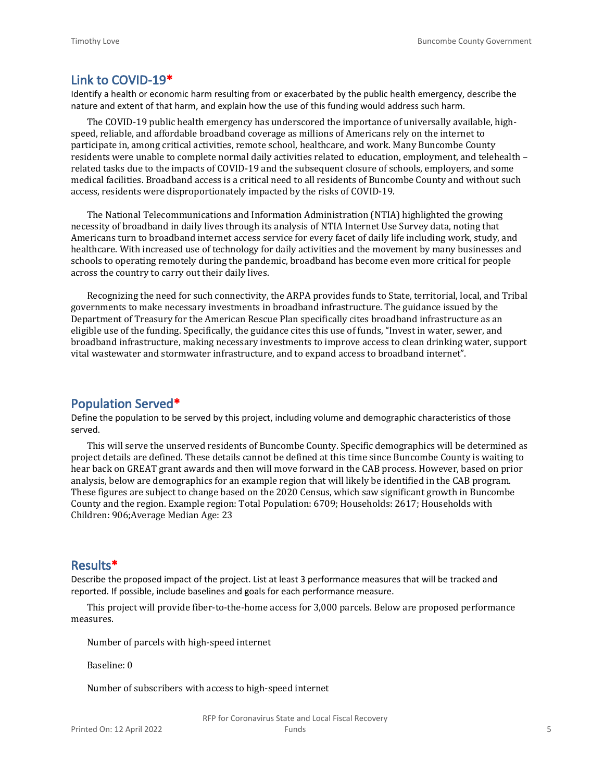#### **Link to COVID-19\***

Identify a health or economic harm resulting from or exacerbated by the public health emergency, describe the nature and extent of that harm, and explain how the use of this funding would address such harm.

The COVID-19 public health emergency has underscored the importance of universally available, highspeed, reliable, and affordable broadband coverage as millions of Americans rely on the internet to participate in, among critical activities, remote school, healthcare, and work. Many Buncombe County residents were unable to complete normal daily activities related to education, employment, and telehealth – related tasks due to the impacts of COVID-19 and the subsequent closure of schools, employers, and some medical facilities. Broadband access is a critical need to all residents of Buncombe County and without such access, residents were disproportionately impacted by the risks of COVID-19.

The National Telecommunications and Information Administration (NTIA) highlighted the growing necessity of broadband in daily lives through its analysis of NTIA Internet Use Survey data, noting that Americans turn to broadband internet access service for every facet of daily life including work, study, and healthcare. With increased use of technology for daily activities and the movement by many businesses and schools to operating remotely during the pandemic, broadband has become even more critical for people across the country to carry out their daily lives.

Recognizing the need for such connectivity, the ARPA provides funds to State, territorial, local, and Tribal governments to make necessary investments in broadband infrastructure. The guidance issued by the Department of Treasury for the American Rescue Plan specifically cites broadband infrastructure as an eligible use of the funding. Specifically, the guidance cites this use of funds, "Invest in water, sewer, and broadband infrastructure, making necessary investments to improve access to clean drinking water, support vital wastewater and stormwater infrastructure, and to expand access to broadband internet".

#### **Population Served\***

Define the population to be served by this project, including volume and demographic characteristics of those served.

This will serve the unserved residents of Buncombe County. Specific demographics will be determined as project details are defined. These details cannot be defined at this time since Buncombe County is waiting to hear back on GREAT grant awards and then will move forward in the CAB process. However, based on prior analysis, below are demographics for an example region that will likely be identified in the CAB program. These figures are subject to change based on the 2020 Census, which saw significant growth in Buncombe County and the region. Example region: Total Population: 6709; Households: 2617; Households with Children: 906;Average Median Age: 23

#### **Results\***

Describe the proposed impact of the project. List at least 3 performance measures that will be tracked and reported. If possible, include baselines and goals for each performance measure.

This project will provide fiber-to-the-home access for 3,000 parcels. Below are proposed performance measures.

Number of parcels with high-speed internet

Baseline: 0

Number of subscribers with access to high-speed internet

RFP for Coronavirus State and Local Fiscal Recovery Funds 5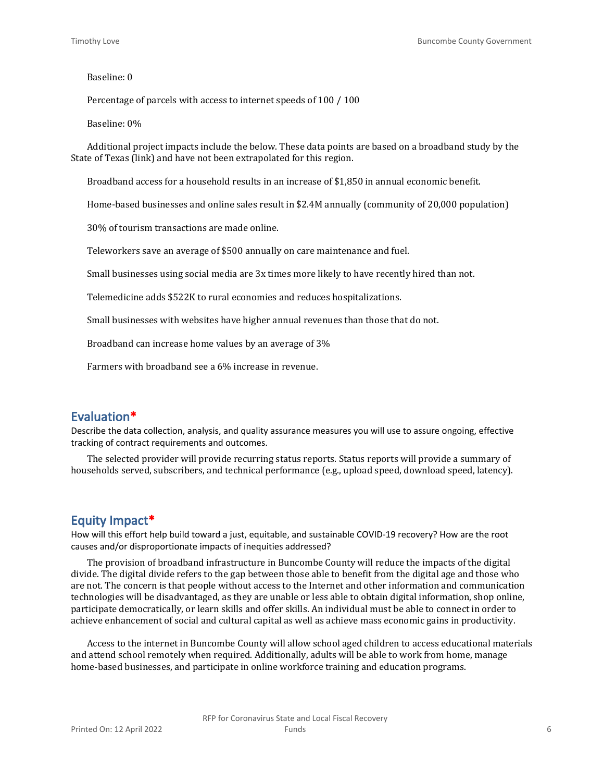#### Baseline: 0

Percentage of parcels with access to internet speeds of 100 / 100

Baseline: 0%

Additional project impacts include the below. These data points are based on a broadband study by the State of Texas (link) and have not been extrapolated for this region.

Broadband access for a household results in an increase of \$1,850 in annual economic benefit.

Home-based businesses and online sales result in \$2.4M annually (community of 20,000 population)

30% of tourism transactions are made online.

Teleworkers save an average of \$500 annually on care maintenance and fuel.

Small businesses using social media are 3x times more likely to have recently hired than not.

Telemedicine adds \$522K to rural economies and reduces hospitalizations.

Small businesses with websites have higher annual revenues than those that do not.

Broadband can increase home values by an average of 3%

Farmers with broadband see a 6% increase in revenue.

#### **Evaluation\***

Describe the data collection, analysis, and quality assurance measures you will use to assure ongoing, effective tracking of contract requirements and outcomes.

The selected provider will provide recurring status reports. Status reports will provide a summary of households served, subscribers, and technical performance (e.g., upload speed, download speed, latency).

#### **Equity Impact\***

How will this effort help build toward a just, equitable, and sustainable COVID-19 recovery? How are the root causes and/or disproportionate impacts of inequities addressed?

The provision of broadband infrastructure in Buncombe County will reduce the impacts of the digital divide. The digital divide refers to the gap between those able to benefit from the digital age and those who are not. The concern is that people without access to the Internet and other information and communication technologies will be disadvantaged, as they are unable or less able to obtain digital information, shop online, participate democratically, or learn skills and offer skills. An individual must be able to connect in order to achieve enhancement of social and cultural capital as well as achieve mass economic gains in productivity.

Access to the internet in Buncombe County will allow school aged children to access educational materials and attend school remotely when required. Additionally, adults will be able to work from home, manage home-based businesses, and participate in online workforce training and education programs.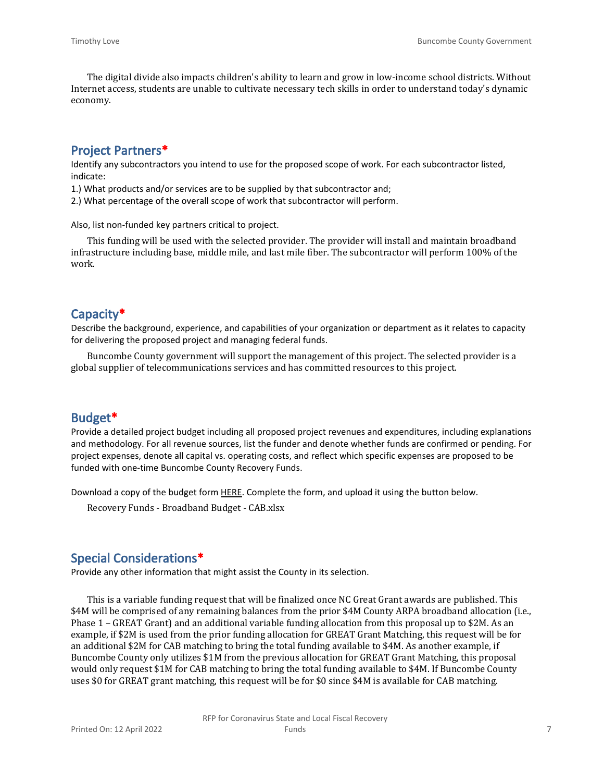The digital divide also impacts children's ability to learn and grow in low-income school districts. Without Internet access, students are unable to cultivate necessary tech skills in order to understand today's dynamic economy.

## **Project Partners\***

Identify any subcontractors you intend to use for the proposed scope of work. For each subcontractor listed, indicate:

1.) What products and/or services are to be supplied by that subcontractor and;

2.) What percentage of the overall scope of work that subcontractor will perform.

Also, list non-funded key partners critical to project.

This funding will be used with the selected provider. The provider will install and maintain broadband infrastructure including base, middle mile, and last mile fiber. The subcontractor will perform 100% of the work.

### **Capacity\***

Describe the background, experience, and capabilities of your organization or department as it relates to capacity for delivering the proposed project and managing federal funds.

Buncombe County government will support the management of this project. The selected provider is a global supplier of telecommunications services and has committed resources to this project.

## **Budget\***

Provide a detailed project budget including all proposed project revenues and expenditures, including explanations and methodology. For all revenue sources, list the funder and denote whether funds are confirmed or pending. For project expenses, denote all capital vs. operating costs, and reflect which specific expenses are proposed to be funded with one-time Buncombe County Recovery Funds.

Download a copy of the budget form [HERE](https://buncombecounty.org/common/community-investment/grants/early-childhood-education/Recovery-Funds-budget-template.xlsx). Complete the form, and upload it using the button below.

Recovery Funds - Broadband Budget - CAB.xlsx

#### **Special Considerations\***

Provide any other information that might assist the County in its selection.

This is a variable funding request that will be finalized once NC Great Grant awards are published. This \$4M will be comprised of any remaining balances from the prior \$4M County ARPA broadband allocation (i.e., Phase 1 – GREAT Grant) and an additional variable funding allocation from this proposal up to \$2M. As an example, if \$2M is used from the prior funding allocation for GREAT Grant Matching, this request will be for an additional \$2M for CAB matching to bring the total funding available to \$4M. As another example, if Buncombe County only utilizes \$1M from the previous allocation for GREAT Grant Matching, this proposal would only request \$1M for CAB matching to bring the total funding available to \$4M. If Buncombe County uses \$0 for GREAT grant matching, this request will be for \$0 since \$4M is available for CAB matching.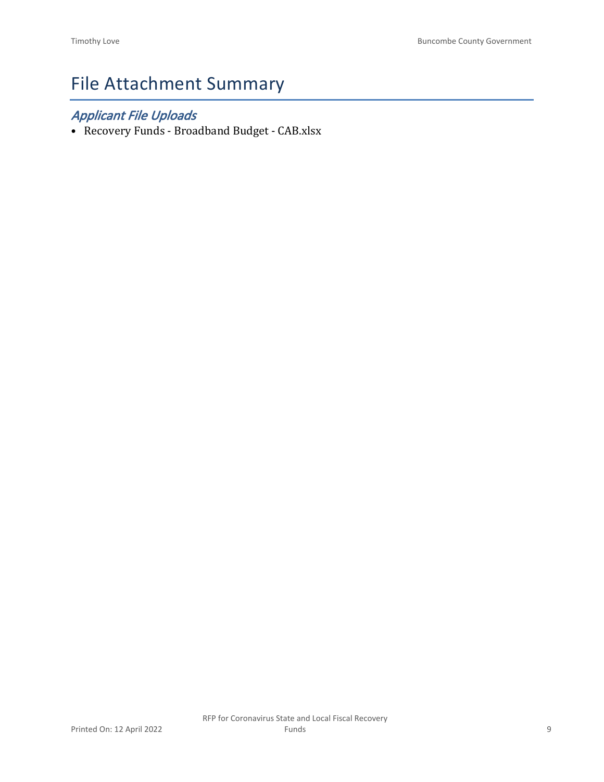# File Attachment Summary

## *Applicant File Uploads*

• Recovery Funds - Broadband Budget - CAB.xlsx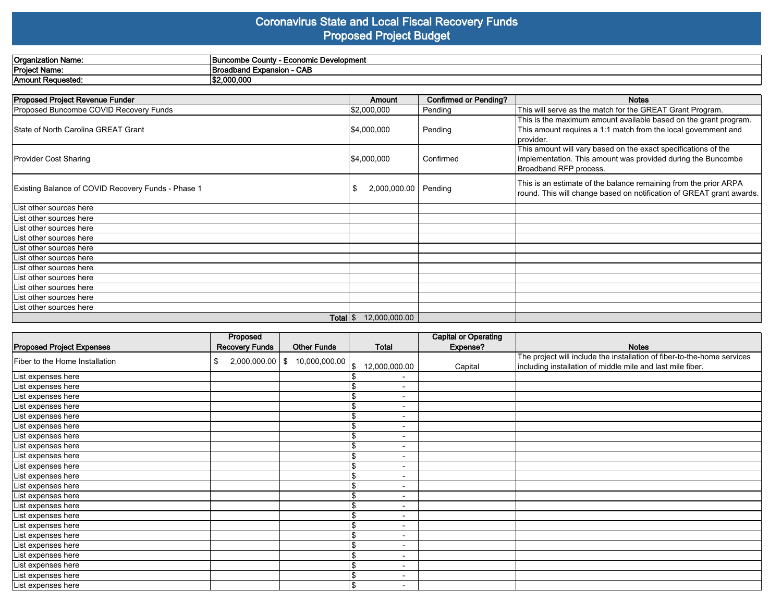#### **Coronavirus State and Local Fiscal Recovery Funds Proposed Project Budget**

| Organization Name:                                 | <b>Buncombe County - Economic Development</b> |               |                       |                                                                                                                                                          |  |  |  |
|----------------------------------------------------|-----------------------------------------------|---------------|-----------------------|----------------------------------------------------------------------------------------------------------------------------------------------------------|--|--|--|
| Project Name:                                      | Broadband Expansion - CAB                     |               |                       |                                                                                                                                                          |  |  |  |
| Amount Requested:                                  | \$2,000,000                                   |               |                       |                                                                                                                                                          |  |  |  |
|                                                    |                                               |               |                       |                                                                                                                                                          |  |  |  |
| <b>Proposed Project Revenue Funder</b>             |                                               | <b>Amount</b> | Confirmed or Pending? | <b>Notes</b>                                                                                                                                             |  |  |  |
| Proposed Buncombe COVID Recovery Funds             |                                               | \$2,000,000   | Pending               | This will serve as the match for the GREAT Grant Program.                                                                                                |  |  |  |
| State of North Carolina GREAT Grant                |                                               | \$4,000,000   | Pending               | This is the maximum amount available based on the grant program.<br>This amount requires a 1:1 match from the local government and<br>provider.          |  |  |  |
| <b>Provider Cost Sharing</b>                       |                                               | \$4,000,000   | Confirmed             | This amount will vary based on the exact specifications of the<br>implementation. This amount was provided during the Buncombe<br>Broadband RFP process. |  |  |  |
| Existing Balance of COVID Recovery Funds - Phase 1 |                                               | 2,000,000.00  | Pending               | This is an estimate of the balance remaining from the prior ARPA<br>round. This will change based on notification of GREAT grant awards.                 |  |  |  |
| List other sources here                            |                                               |               |                       |                                                                                                                                                          |  |  |  |
| List other sources here                            |                                               |               |                       |                                                                                                                                                          |  |  |  |
| List other sources here                            |                                               |               |                       |                                                                                                                                                          |  |  |  |
| List other sources here                            |                                               |               |                       |                                                                                                                                                          |  |  |  |
| List other sources here                            |                                               |               |                       |                                                                                                                                                          |  |  |  |
| List other sources here                            |                                               |               |                       |                                                                                                                                                          |  |  |  |
| List other sources here                            |                                               |               |                       |                                                                                                                                                          |  |  |  |
| List other sources here                            |                                               |               |                       |                                                                                                                                                          |  |  |  |

List other sources here List other sources here List other sources here **Total** \$ 12,000,000.00

|                                  | Proposed                  |                    |                                    | <b>Capital or Operating</b> |                                                                         |
|----------------------------------|---------------------------|--------------------|------------------------------------|-----------------------------|-------------------------------------------------------------------------|
| <b>Proposed Project Expenses</b> | <b>Recovery Funds</b>     | <b>Other Funds</b> | Total                              | Expense?                    | <b>Notes</b>                                                            |
| Fiber to the Home Installation   | $2,000,000.00$   \$<br>\$ | 10,000,000.00      |                                    |                             | The project will include the installation of fiber-to-the-home services |
|                                  |                           |                    | 12,000,000.00<br>\$                | Capital                     | including installation of middle mile and last mile fiber.              |
| List expenses here               |                           |                    | $\overline{\phantom{0}}$           |                             |                                                                         |
| List expenses here               |                           |                    | $\blacksquare$                     |                             |                                                                         |
| List expenses here               |                           |                    | $\blacksquare$                     |                             |                                                                         |
| List expenses here               |                           |                    | \$<br>$\overline{\phantom{a}}$     |                             |                                                                         |
| List expenses here               |                           |                    | $\Phi$<br>$\overline{\phantom{a}}$ |                             |                                                                         |
| List expenses here               |                           |                    | Φ<br>$\overline{\phantom{a}}$      |                             |                                                                         |
| List expenses here               |                           |                    | $\overline{\phantom{a}}$           |                             |                                                                         |
| List expenses here               |                           |                    | $\overline{\phantom{a}}$           |                             |                                                                         |
| List expenses here               |                           |                    | $\overline{\phantom{a}}$           |                             |                                                                         |
| List expenses here               |                           |                    | ¢<br>$\overline{\phantom{0}}$      |                             |                                                                         |
| List expenses here               |                           |                    | -                                  |                             |                                                                         |
| List expenses here               |                           |                    | \$<br>$\overline{\phantom{a}}$     |                             |                                                                         |
| List expenses here               |                           |                    | $\overline{\phantom{a}}$           |                             |                                                                         |
| List expenses here               |                           |                    | \$<br>$\overline{\phantom{a}}$     |                             |                                                                         |
| List expenses here               |                           |                    | $\overline{\phantom{a}}$           |                             |                                                                         |
| List expenses here               |                           |                    | \$<br>$\overline{\phantom{a}}$     |                             |                                                                         |
| List expenses here               |                           |                    | $\overline{\phantom{a}}$           |                             |                                                                         |
| List expenses here               |                           |                    | $\blacksquare$                     |                             |                                                                         |
| List expenses here               |                           |                    | \$<br>$\overline{\phantom{0}}$     |                             |                                                                         |
| List expenses here               |                           |                    | \$<br>$\overline{\phantom{0}}$     |                             |                                                                         |
| List expenses here               |                           |                    | \$<br>$\overline{\phantom{a}}$     |                             |                                                                         |
| List expenses here               |                           |                    | \$<br>$\blacksquare$               |                             |                                                                         |